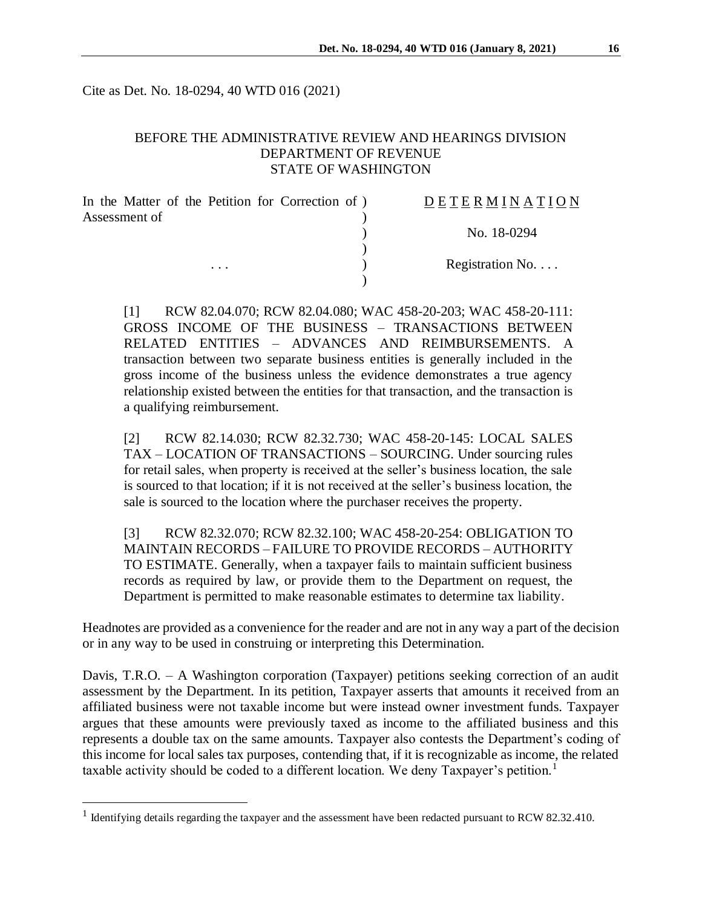Cite as Det. No. 18-0294, 40 WTD 016 (2021)

## BEFORE THE ADMINISTRATIVE REVIEW AND HEARINGS DIVISION DEPARTMENT OF REVENUE STATE OF WASHINGTON

| In the Matter of the Petition for Correction of) | DETERMINATION            |  |
|--------------------------------------------------|--------------------------|--|
| Assessment of                                    |                          |  |
|                                                  | No. 18-0294              |  |
|                                                  |                          |  |
| $\cdots$                                         | Registration No. $\dots$ |  |
|                                                  |                          |  |

[1] RCW 82.04.070; RCW 82.04.080; WAC 458-20-203; WAC 458-20-111: GROSS INCOME OF THE BUSINESS – TRANSACTIONS BETWEEN RELATED ENTITIES – ADVANCES AND REIMBURSEMENTS. A transaction between two separate business entities is generally included in the gross income of the business unless the evidence demonstrates a true agency relationship existed between the entities for that transaction, and the transaction is a qualifying reimbursement.

[2] RCW 82.14.030; RCW 82.32.730; WAC 458-20-145: LOCAL SALES TAX – LOCATION OF TRANSACTIONS – SOURCING. Under sourcing rules for retail sales, when property is received at the seller's business location, the sale is sourced to that location; if it is not received at the seller's business location, the sale is sourced to the location where the purchaser receives the property.

[3] RCW 82.32.070; RCW 82.32.100; WAC 458-20-254: OBLIGATION TO MAINTAIN RECORDS – FAILURE TO PROVIDE RECORDS – AUTHORITY TO ESTIMATE. Generally, when a taxpayer fails to maintain sufficient business records as required by law, or provide them to the Department on request, the Department is permitted to make reasonable estimates to determine tax liability.

Headnotes are provided as a convenience for the reader and are not in any way a part of the decision or in any way to be used in construing or interpreting this Determination.

Davis, T.R.O. – A Washington corporation (Taxpayer) petitions seeking correction of an audit assessment by the Department. In its petition, Taxpayer asserts that amounts it received from an affiliated business were not taxable income but were instead owner investment funds. Taxpayer argues that these amounts were previously taxed as income to the affiliated business and this represents a double tax on the same amounts. Taxpayer also contests the Department's coding of this income for local sales tax purposes, contending that, if it is recognizable as income, the related taxable activity should be coded to a different location. We deny Taxpayer's petition.<sup>1</sup>

<sup>&</sup>lt;sup>1</sup> Identifying details regarding the taxpayer and the assessment have been redacted pursuant to RCW 82.32.410.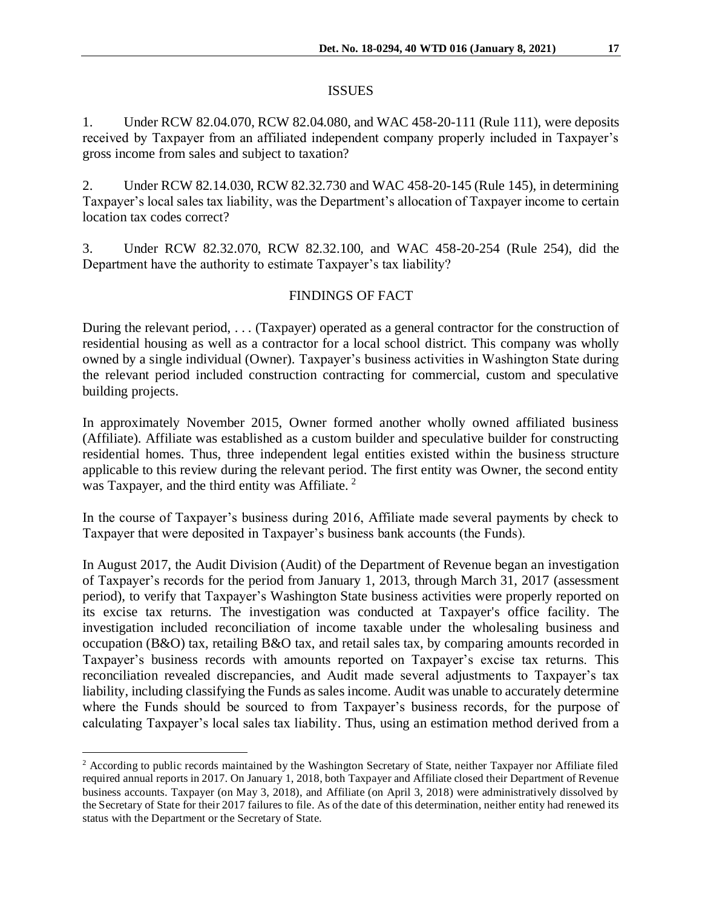### ISSUES

1. Under RCW 82.04.070, RCW 82.04.080, and WAC 458-20-111 (Rule 111), were deposits received by Taxpayer from an affiliated independent company properly included in Taxpayer's gross income from sales and subject to taxation?

2. Under RCW 82.14.030, RCW 82.32.730 and WAC 458-20-145 (Rule 145), in determining Taxpayer's local sales tax liability, was the Department's allocation of Taxpayer income to certain location tax codes correct?

3. Under RCW 82.32.070, RCW 82.32.100, and WAC 458-20-254 (Rule 254), did the Department have the authority to estimate Taxpayer's tax liability?

## FINDINGS OF FACT

During the relevant period, . . . (Taxpayer) operated as a general contractor for the construction of residential housing as well as a contractor for a local school district. This company was wholly owned by a single individual (Owner). Taxpayer's business activities in Washington State during the relevant period included construction contracting for commercial, custom and speculative building projects.

In approximately November 2015, Owner formed another wholly owned affiliated business (Affiliate). Affiliate was established as a custom builder and speculative builder for constructing residential homes. Thus, three independent legal entities existed within the business structure applicable to this review during the relevant period. The first entity was Owner, the second entity was Taxpayer, and the third entity was Affiliate.<sup>2</sup>

In the course of Taxpayer's business during 2016, Affiliate made several payments by check to Taxpayer that were deposited in Taxpayer's business bank accounts (the Funds).

In August 2017, the Audit Division (Audit) of the Department of Revenue began an investigation of Taxpayer's records for the period from January 1, 2013, through March 31, 2017 (assessment period), to verify that Taxpayer's Washington State business activities were properly reported on its excise tax returns. The investigation was conducted at Taxpayer's office facility. The investigation included reconciliation of income taxable under the wholesaling business and occupation (B&O) tax, retailing B&O tax, and retail sales tax, by comparing amounts recorded in Taxpayer's business records with amounts reported on Taxpayer's excise tax returns. This reconciliation revealed discrepancies, and Audit made several adjustments to Taxpayer's tax liability, including classifying the Funds as sales income. Audit was unable to accurately determine where the Funds should be sourced to from Taxpayer's business records, for the purpose of calculating Taxpayer's local sales tax liability. Thus, using an estimation method derived from a

<sup>&</sup>lt;sup>2</sup> According to public records maintained by the Washington Secretary of State, neither Taxpayer nor Affiliate filed required annual reports in 2017. On January 1, 2018, both Taxpayer and Affiliate closed their Department of Revenue business accounts. Taxpayer (on May 3, 2018), and Affiliate (on April 3, 2018) were administratively dissolved by the Secretary of State for their 2017 failures to file. As of the date of this determination, neither entity had renewed its status with the Department or the Secretary of State.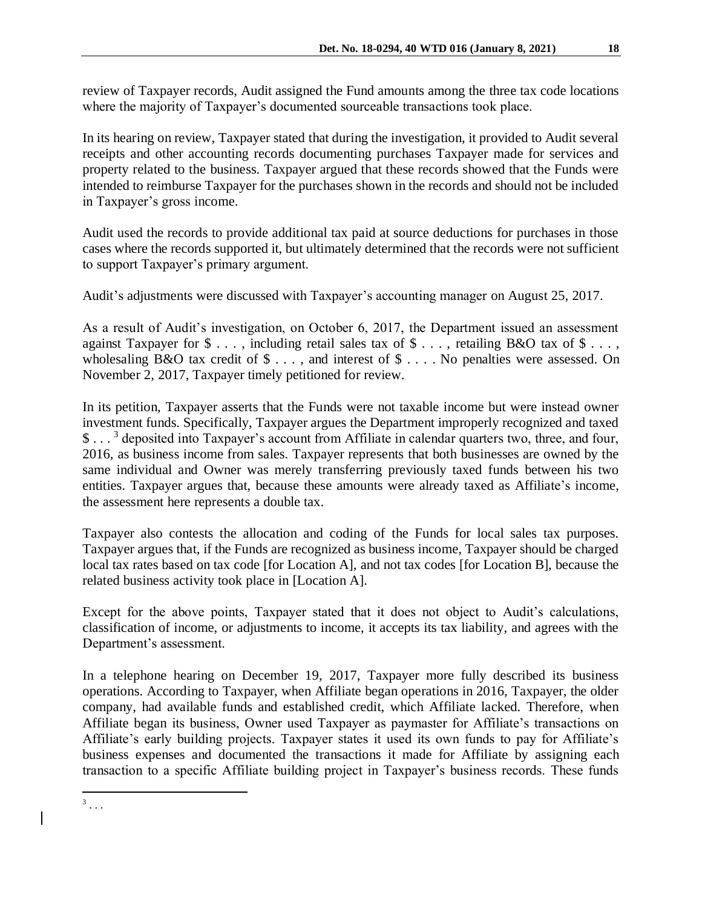review of Taxpayer records, Audit assigned the Fund amounts among the three tax code locations where the majority of Taxpayer's documented sourceable transactions took place.

In its hearing on review, Taxpayer stated that during the investigation, it provided to Audit several receipts and other accounting records documenting purchases Taxpayer made for services and property related to the business. Taxpayer argued that these records showed that the Funds were intended to reimburse Taxpayer for the purchases shown in the records and should not be included in Taxpayer's gross income.

Audit used the records to provide additional tax paid at source deductions for purchases in those cases where the records supported it, but ultimately determined that the records were not sufficient to support Taxpayer's primary argument.

Audit's adjustments were discussed with Taxpayer's accounting manager on August 25, 2017.

As a result of Audit's investigation, on October 6, 2017, the Department issued an assessment against Taxpayer for  $\$\ldots$ , including retail sales tax of  $\$\ldots$ , retailing B&O tax of  $\$\ldots$ , wholesaling B&O tax credit of  $\$\ldots$ , and interest of  $\$\ldots$ . No penalties were assessed. On November 2, 2017, Taxpayer timely petitioned for review.

In its petition, Taxpayer asserts that the Funds were not taxable income but were instead owner investment funds. Specifically, Taxpayer argues the Department improperly recognized and taxed \$...<sup>3</sup> deposited into Taxpayer's account from Affiliate in calendar quarters two, three, and four, 2016, as business income from sales. Taxpayer represents that both businesses are owned by the same individual and Owner was merely transferring previously taxed funds between his two entities. Taxpayer argues that, because these amounts were already taxed as Affiliate's income, the assessment here represents a double tax.

Taxpayer also contests the allocation and coding of the Funds for local sales tax purposes. Taxpayer argues that, if the Funds are recognized as business income, Taxpayer should be charged local tax rates based on tax code [for Location A], and not tax codes [for Location B], because the related business activity took place in [Location A].

Except for the above points, Taxpayer stated that it does not object to Audit's calculations, classification of income, or adjustments to income, it accepts its tax liability, and agrees with the Department's assessment.

In a telephone hearing on December 19, 2017, Taxpayer more fully described its business operations. According to Taxpayer, when Affiliate began operations in 2016, Taxpayer, the older company, had available funds and established credit, which Affiliate lacked. Therefore, when Affiliate began its business, Owner used Taxpayer as paymaster for Affiliate's transactions on Affiliate's early building projects. Taxpayer states it used its own funds to pay for Affiliate's business expenses and documented the transactions it made for Affiliate by assigning each transaction to a specific Affiliate building project in Taxpayer's business records. These funds

 $\frac{3}{3}$ ...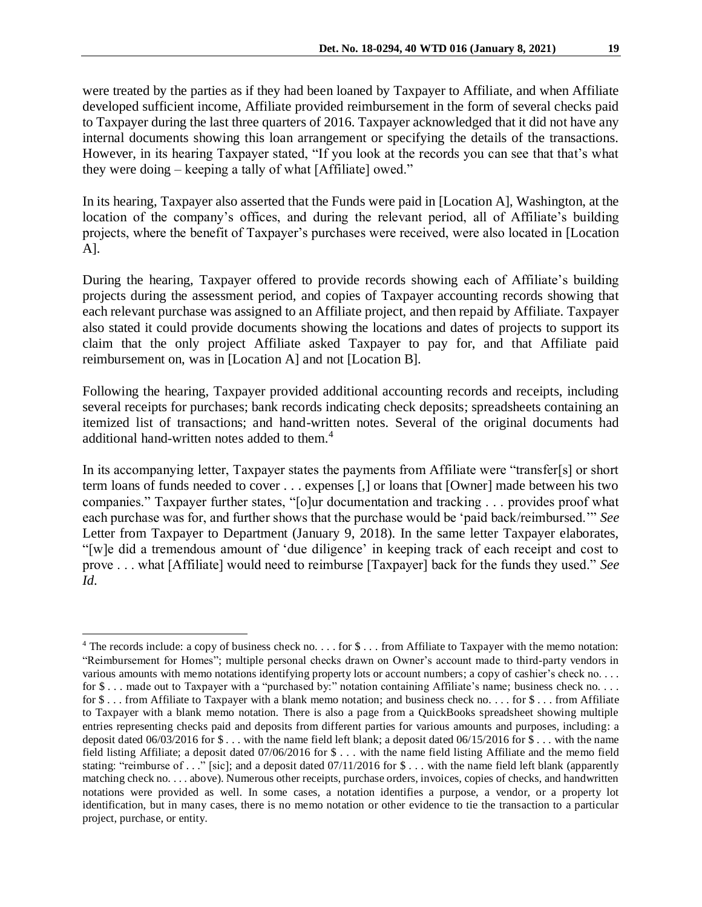were treated by the parties as if they had been loaned by Taxpayer to Affiliate, and when Affiliate developed sufficient income, Affiliate provided reimbursement in the form of several checks paid to Taxpayer during the last three quarters of 2016. Taxpayer acknowledged that it did not have any internal documents showing this loan arrangement or specifying the details of the transactions. However, in its hearing Taxpayer stated, "If you look at the records you can see that that's what they were doing – keeping a tally of what [Affiliate] owed."

In its hearing, Taxpayer also asserted that the Funds were paid in [Location A], Washington, at the location of the company's offices, and during the relevant period, all of Affiliate's building projects, where the benefit of Taxpayer's purchases were received, were also located in [Location A].

During the hearing, Taxpayer offered to provide records showing each of Affiliate's building projects during the assessment period, and copies of Taxpayer accounting records showing that each relevant purchase was assigned to an Affiliate project, and then repaid by Affiliate. Taxpayer also stated it could provide documents showing the locations and dates of projects to support its claim that the only project Affiliate asked Taxpayer to pay for, and that Affiliate paid reimbursement on, was in [Location A] and not [Location B].

Following the hearing, Taxpayer provided additional accounting records and receipts, including several receipts for purchases; bank records indicating check deposits; spreadsheets containing an itemized list of transactions; and hand-written notes. Several of the original documents had additional hand-written notes added to them.<sup>4</sup>

In its accompanying letter, Taxpayer states the payments from Affiliate were "transfer[s] or short term loans of funds needed to cover . . . expenses [,] or loans that [Owner] made between his two companies." Taxpayer further states, "[o]ur documentation and tracking . . . provides proof what each purchase was for, and further shows that the purchase would be 'paid back/reimbursed.'" *See* Letter from Taxpayer to Department (January 9, 2018). In the same letter Taxpayer elaborates, "[w]e did a tremendous amount of 'due diligence' in keeping track of each receipt and cost to prove . . . what [Affiliate] would need to reimburse [Taxpayer] back for the funds they used." *See Id*.

<sup>&</sup>lt;sup>4</sup> The records include: a copy of business check no.  $\dots$  for  $\$\dots$  from Affiliate to Taxpayer with the memo notation: "Reimbursement for Homes"; multiple personal checks drawn on Owner's account made to third-party vendors in various amounts with memo notations identifying property lots or account numbers; a copy of cashier's check no. . . . for \$ . . . made out to Taxpayer with a "purchased by:" notation containing Affiliate's name; business check no. . . . for \$... from Affiliate to Taxpayer with a blank memo notation; and business check no... for \$... from Affiliate to Taxpayer with a blank memo notation. There is also a page from a QuickBooks spreadsheet showing multiple entries representing checks paid and deposits from different parties for various amounts and purposes, including: a deposit dated 06/03/2016 for \$ . . . with the name field left blank; a deposit dated 06/15/2016 for \$ . . . with the name field listing Affiliate; a deposit dated 07/06/2016 for \$ . . . with the name field listing Affiliate and the memo field stating: "reimburse of . . ." [sic]; and a deposit dated  $07/11/2016$  for \$... with the name field left blank (apparently matching check no. . . . above). Numerous other receipts, purchase orders, invoices, copies of checks, and handwritten notations were provided as well. In some cases, a notation identifies a purpose, a vendor, or a property lot identification, but in many cases, there is no memo notation or other evidence to tie the transaction to a particular project, purchase, or entity.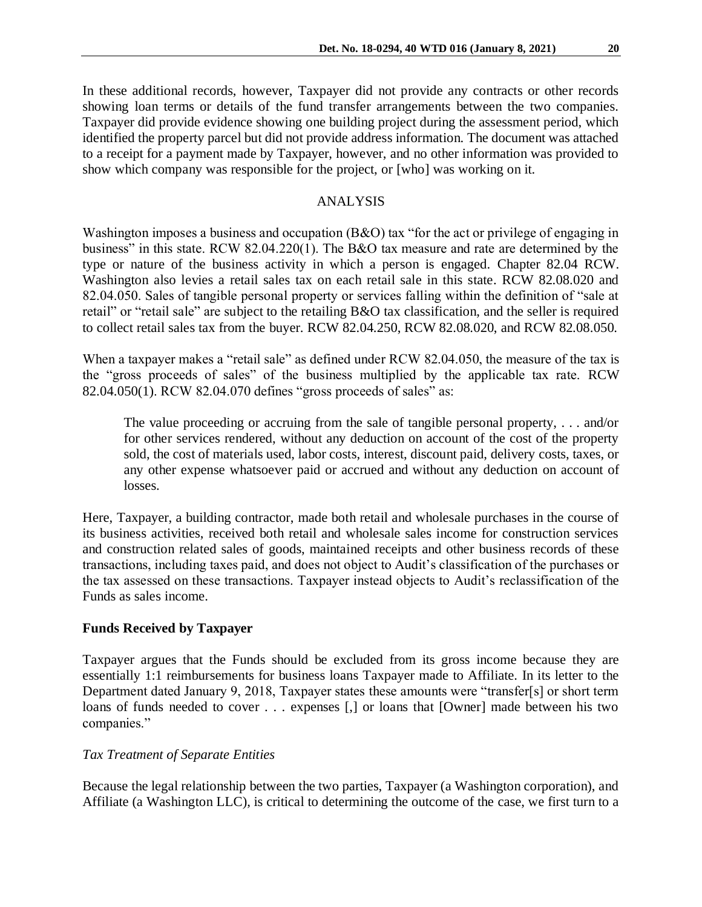In these additional records, however, Taxpayer did not provide any contracts or other records showing loan terms or details of the fund transfer arrangements between the two companies. Taxpayer did provide evidence showing one building project during the assessment period, which identified the property parcel but did not provide address information. The document was attached to a receipt for a payment made by Taxpayer, however, and no other information was provided to show which company was responsible for the project, or [who] was working on it.

## ANALYSIS

Washington imposes a business and occupation (B&O) tax "for the act or privilege of engaging in business" in this state. RCW 82.04.220(1). The B&O tax measure and rate are determined by the type or nature of the business activity in which a person is engaged. Chapter 82.04 RCW. Washington also levies a retail sales tax on each retail sale in this state. RCW 82.08.020 and 82.04.050. Sales of tangible personal property or services falling within the definition of "sale at retail" or "retail sale" are subject to the retailing B&O tax classification, and the seller is required to collect retail sales tax from the buyer. RCW 82.04.250, RCW 82.08.020, and RCW 82.08.050.

When a taxpayer makes a "retail sale" as defined under RCW 82.04.050, the measure of the tax is the "gross proceeds of sales" of the business multiplied by the applicable tax rate. RCW 82.04.050(1). RCW 82.04.070 defines "gross proceeds of sales" as:

The value proceeding or accruing from the sale of tangible personal property, . . . and/or for other services rendered, without any deduction on account of the cost of the property sold, the cost of materials used, labor costs, interest, discount paid, delivery costs, taxes, or any other expense whatsoever paid or accrued and without any deduction on account of losses.

Here, Taxpayer, a building contractor, made both retail and wholesale purchases in the course of its business activities, received both retail and wholesale sales income for construction services and construction related sales of goods, maintained receipts and other business records of these transactions, including taxes paid, and does not object to Audit's classification of the purchases or the tax assessed on these transactions. Taxpayer instead objects to Audit's reclassification of the Funds as sales income.

# **Funds Received by Taxpayer**

Taxpayer argues that the Funds should be excluded from its gross income because they are essentially 1:1 reimbursements for business loans Taxpayer made to Affiliate. In its letter to the Department dated January 9, 2018, Taxpayer states these amounts were "transfer[s] or short term loans of funds needed to cover . . . expenses [,] or loans that [Owner] made between his two companies."

## *Tax Treatment of Separate Entities*

Because the legal relationship between the two parties, Taxpayer (a Washington corporation), and Affiliate (a Washington LLC), is critical to determining the outcome of the case, we first turn to a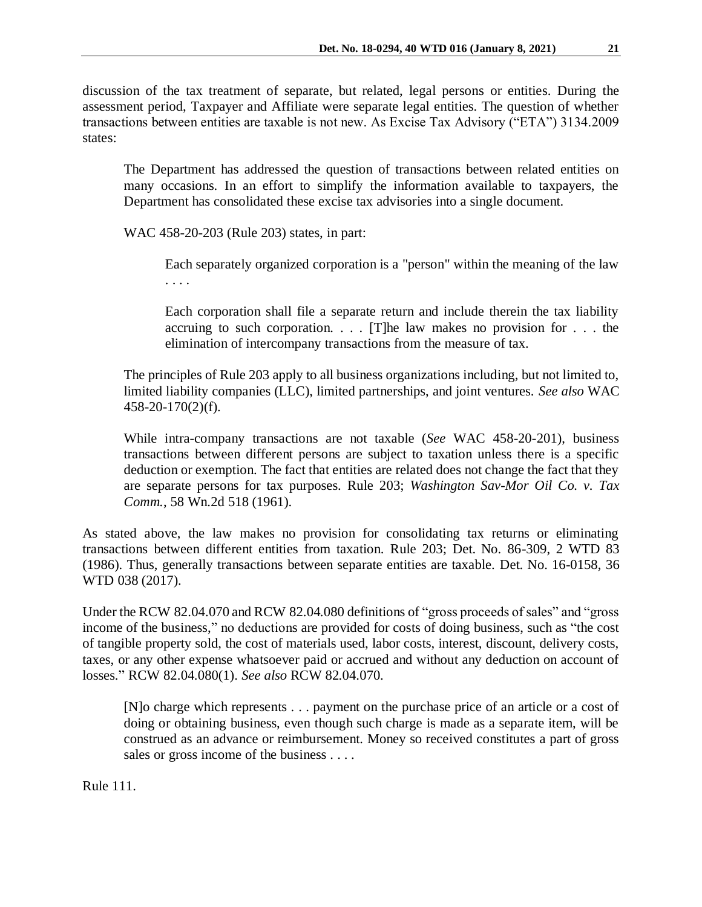discussion of the tax treatment of separate, but related, legal persons or entities. During the assessment period, Taxpayer and Affiliate were separate legal entities. The question of whether transactions between entities are taxable is not new. As Excise Tax Advisory ("ETA") 3134.2009 states:

The Department has addressed the question of transactions between related entities on many occasions. In an effort to simplify the information available to taxpayers, the Department has consolidated these excise tax advisories into a single document.

WAC 458-20-203 (Rule 203) states, in part:

Each separately organized corporation is a "person" within the meaning of the law . . . .

Each corporation shall file a separate return and include therein the tax liability accruing to such corporation.  $\ldots$  [T]he law makes no provision for  $\ldots$  the elimination of intercompany transactions from the measure of tax.

The principles of Rule 203 apply to all business organizations including, but not limited to, limited liability companies (LLC), limited partnerships, and joint ventures. *See also* WAC 458-20-170(2)(f).

While intra-company transactions are not taxable (*See* WAC 458-20-201), business transactions between different persons are subject to taxation unless there is a specific deduction or exemption. The fact that entities are related does not change the fact that they are separate persons for tax purposes. Rule 203; *Washington Sav-Mor Oil Co. v. Tax Comm.*, 58 Wn.2d 518 (1961).

As stated above, the law makes no provision for consolidating tax returns or eliminating transactions between different entities from taxation. Rule 203; Det. No. 86-309, 2 WTD 83 (1986). Thus, generally transactions between separate entities are taxable. Det. No. 16-0158, 36 WTD 038 (2017).

Under the RCW 82.04.070 and RCW 82.04.080 definitions of "gross proceeds of sales" and "gross income of the business," no deductions are provided for costs of doing business, such as "the cost of tangible property sold, the cost of materials used, labor costs, interest, discount, delivery costs, taxes, or any other expense whatsoever paid or accrued and without any deduction on account of losses." RCW 82.04.080(1). *See also* RCW 82.04.070.

[N]o charge which represents . . . payment on the purchase price of an article or a cost of doing or obtaining business, even though such charge is made as a separate item, will be construed as an advance or reimbursement. Money so received constitutes a part of gross sales or gross income of the business . . . .

Rule 111.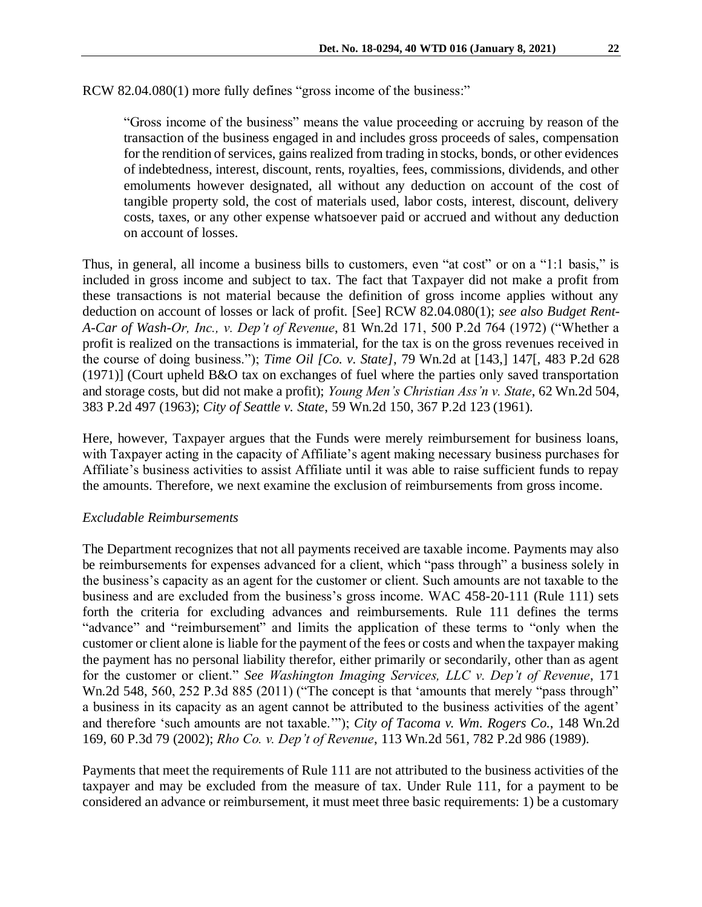RCW 82.04.080(1) more fully defines "gross income of the business:"

"Gross income of the business" means the value proceeding or accruing by reason of the transaction of the business engaged in and includes gross proceeds of sales, compensation for the rendition of services, gains realized from trading in stocks, bonds, or other evidences of indebtedness, interest, discount, rents, royalties, fees, commissions, dividends, and other emoluments however designated, all without any deduction on account of the cost of tangible property sold, the cost of materials used, labor costs, interest, discount, delivery costs, taxes, or any other expense whatsoever paid or accrued and without any deduction on account of losses.

Thus, in general, all income a business bills to customers, even "at cost" or on a "1:1 basis," is included in gross income and subject to tax. The fact that Taxpayer did not make a profit from these transactions is not material because the definition of gross income applies without any deduction on account of losses or lack of profit. [See] RCW 82.04.080(1); *see also Budget Rent-A-Car of Wash-Or, Inc., v. Dep't of Revenue*, 81 Wn.2d 171, 500 P.2d 764 (1972) ("Whether a profit is realized on the transactions is immaterial, for the tax is on the gross revenues received in the course of doing business."); *Time Oil [Co. v. State]*, 79 Wn.2d at [143,] 147[, 483 P.2d 628 (1971)] (Court upheld B&O tax on exchanges of fuel where the parties only saved transportation and storage costs, but did not make a profit); *Young Men's Christian Ass'n v. State*, 62 Wn.2d 504, 383 P.2d 497 (1963); *City of Seattle v. State*, 59 Wn.2d 150, 367 P.2d 123 (1961).

Here, however, Taxpayer argues that the Funds were merely reimbursement for business loans, with Taxpayer acting in the capacity of Affiliate's agent making necessary business purchases for Affiliate's business activities to assist Affiliate until it was able to raise sufficient funds to repay the amounts. Therefore, we next examine the exclusion of reimbursements from gross income.

#### *Excludable Reimbursements*

The Department recognizes that not all payments received are taxable income. Payments may also be reimbursements for expenses advanced for a client, which "pass through" a business solely in the business's capacity as an agent for the customer or client. Such amounts are not taxable to the business and are excluded from the business's gross income. WAC 458-20-111 (Rule 111) sets forth the criteria for excluding advances and reimbursements. Rule 111 defines the terms "advance" and "reimbursement" and limits the application of these terms to "only when the customer or client alone is liable for the payment of the fees or costs and when the taxpayer making the payment has no personal liability therefor, either primarily or secondarily, other than as agent for the customer or client." *See Washington Imaging Services, LLC v. Dep't of Revenue*, 171 Wn.2d 548, 560, 252 P.3d 885 (2011) ("The concept is that 'amounts that merely "pass through" a business in its capacity as an agent cannot be attributed to the business activities of the agent' and therefore 'such amounts are not taxable.'"); *City of Tacoma v. Wm. Rogers Co.*, 148 Wn.2d 169, 60 P.3d 79 (2002); *Rho Co. v. Dep't of Revenue*, 113 Wn.2d 561, 782 P.2d 986 (1989).

Payments that meet the requirements of Rule 111 are not attributed to the business activities of the taxpayer and may be excluded from the measure of tax. Under Rule 111, for a payment to be considered an advance or reimbursement, it must meet three basic requirements: 1) be a customary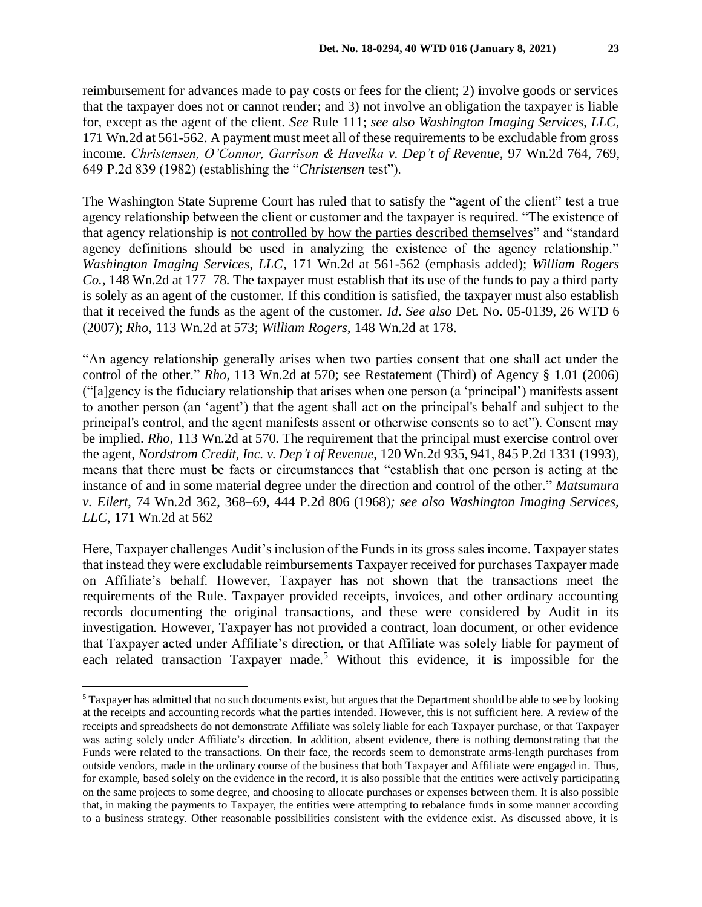reimbursement for advances made to pay costs or fees for the client; 2) involve goods or services that the taxpayer does not or cannot render; and 3) not involve an obligation the taxpayer is liable for, except as the agent of the client. *See* Rule 111; *see also Washington Imaging Services, LLC*, 171 Wn.2d at 561-562. A payment must meet all of these requirements to be excludable from gross income. *Christensen, O'Connor, Garrison & Havelka v. Dep't of Revenue*, 97 Wn.2d 764, 769, 649 P.2d 839 (1982) (establishing the "*Christensen* test").

The Washington State Supreme Court has ruled that to satisfy the "agent of the client" test a true agency relationship between the client or customer and the taxpayer is required. "The existence of that agency relationship is not controlled by how the parties described themselves" and "standard agency definitions should be used in analyzing the existence of the agency relationship." *Washington Imaging Services, LLC*, 171 Wn.2d at 561-562 (emphasis added); *William Rogers Co.*, 148 Wn.2d at 177–78. The taxpayer must establish that its use of the funds to pay a third party is solely as an agent of the customer. If this condition is satisfied, the taxpayer must also establish that it received the funds as the agent of the customer. *Id*. *See also* Det. No. 05-0139, 26 WTD 6 (2007); *Rho*, 113 Wn.2d at 573; *William Rogers*, 148 Wn.2d at 178.

"An agency relationship generally arises when two parties consent that one shall act under the control of the other." *Rho*, 113 Wn.2d at 570; see Restatement (Third) of Agency § 1.01 (2006) ("[a]gency is the fiduciary relationship that arises when one person (a 'principal') manifests assent to another person (an 'agent') that the agent shall act on the principal's behalf and subject to the principal's control, and the agent manifests assent or otherwise consents so to act"). Consent may be implied. *Rho*, 113 Wn.2d at 570. The requirement that the principal must exercise control over the agent, *Nordstrom Credit, Inc. v. Dep't of Revenue*, 120 Wn.2d 935, 941, 845 P.2d 1331 (1993), means that there must be facts or circumstances that "establish that one person is acting at the instance of and in some material degree under the direction and control of the other." *Matsumura v. Eilert*, 74 Wn.2d 362, 368–69, 444 P.2d 806 (1968)*; see also Washington Imaging Services, LLC*, 171 Wn.2d at 562

Here, Taxpayer challenges Audit's inclusion of the Funds in its gross sales income. Taxpayer states that instead they were excludable reimbursements Taxpayer received for purchases Taxpayer made on Affiliate's behalf. However, Taxpayer has not shown that the transactions meet the requirements of the Rule. Taxpayer provided receipts, invoices, and other ordinary accounting records documenting the original transactions, and these were considered by Audit in its investigation. However, Taxpayer has not provided a contract, loan document, or other evidence that Taxpayer acted under Affiliate's direction, or that Affiliate was solely liable for payment of each related transaction Taxpayer made.<sup>5</sup> Without this evidence, it is impossible for the

<sup>5</sup> Taxpayer has admitted that no such documents exist, but argues that the Department should be able to see by looking at the receipts and accounting records what the parties intended. However, this is not sufficient here. A review of the receipts and spreadsheets do not demonstrate Affiliate was solely liable for each Taxpayer purchase, or that Taxpayer was acting solely under Affiliate's direction. In addition, absent evidence, there is nothing demonstrating that the Funds were related to the transactions. On their face, the records seem to demonstrate arms-length purchases from outside vendors, made in the ordinary course of the business that both Taxpayer and Affiliate were engaged in. Thus, for example, based solely on the evidence in the record, it is also possible that the entities were actively participating on the same projects to some degree, and choosing to allocate purchases or expenses between them. It is also possible that, in making the payments to Taxpayer, the entities were attempting to rebalance funds in some manner according to a business strategy. Other reasonable possibilities consistent with the evidence exist. As discussed above, it is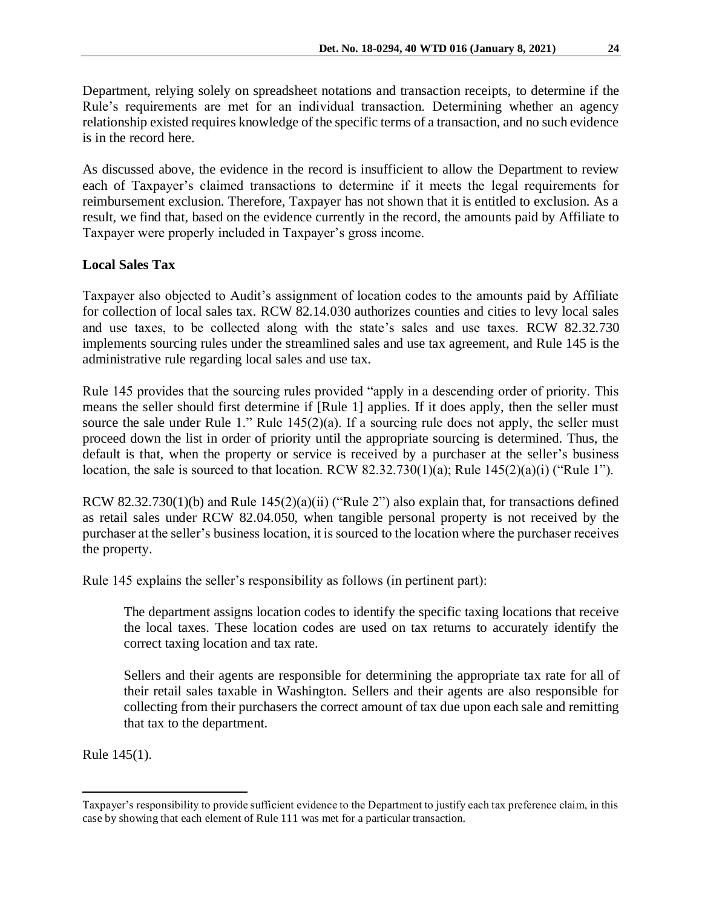Department, relying solely on spreadsheet notations and transaction receipts, to determine if the Rule's requirements are met for an individual transaction. Determining whether an agency relationship existed requires knowledge of the specific terms of a transaction, and no such evidence is in the record here.

As discussed above, the evidence in the record is insufficient to allow the Department to review each of Taxpayer's claimed transactions to determine if it meets the legal requirements for reimbursement exclusion. Therefore, Taxpayer has not shown that it is entitled to exclusion. As a result, we find that, based on the evidence currently in the record, the amounts paid by Affiliate to Taxpayer were properly included in Taxpayer's gross income.

# **Local Sales Tax**

Taxpayer also objected to Audit's assignment of location codes to the amounts paid by Affiliate for collection of local sales tax. RCW 82.14.030 authorizes counties and cities to levy local sales and use taxes, to be collected along with the state's sales and use taxes. RCW 82.32.730 implements sourcing rules under the streamlined sales and use tax agreement, and Rule 145 is the administrative rule regarding local sales and use tax.

Rule 145 provides that the sourcing rules provided "apply in a descending order of priority. This means the seller should first determine if [Rule 1] applies. If it does apply, then the seller must source the sale under Rule 1." Rule  $145(2)(a)$ . If a sourcing rule does not apply, the seller must proceed down the list in order of priority until the appropriate sourcing is determined. Thus, the default is that, when the property or service is received by a purchaser at the seller's business location, the sale is sourced to that location. RCW 82.32.730(1)(a); Rule 145(2)(a)(i) ("Rule 1").

RCW 82.32.730(1)(b) and Rule 145(2)(a)(ii) ("Rule 2") also explain that, for transactions defined as retail sales under RCW 82.04.050, when tangible personal property is not received by the purchaser at the seller's business location, it is sourced to the location where the purchaser receives the property.

Rule 145 explains the seller's responsibility as follows (in pertinent part):

The department assigns location codes to identify the specific taxing locations that receive the local taxes. These location codes are used on tax returns to accurately identify the correct taxing location and tax rate.

Sellers and their agents are responsible for determining the appropriate tax rate for all of their retail sales taxable in Washington. Sellers and their agents are also responsible for collecting from their purchasers the correct amount of tax due upon each sale and remitting that tax to the department.

Rule 145(1).

Taxpayer's responsibility to provide sufficient evidence to the Department to justify each tax preference claim, in this case by showing that each element of Rule 111 was met for a particular transaction.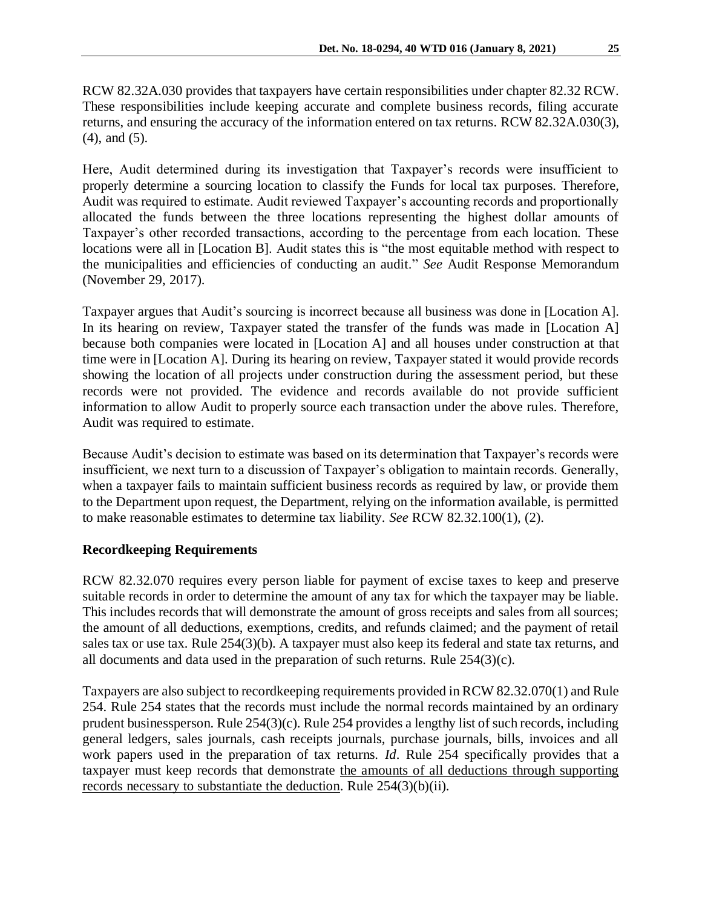RCW 82.32A.030 provides that taxpayers have certain responsibilities under chapter 82.32 RCW. These responsibilities include keeping accurate and complete business records, filing accurate returns, and ensuring the accuracy of the information entered on tax returns. RCW 82.32A.030(3), (4), and (5).

Here, Audit determined during its investigation that Taxpayer's records were insufficient to properly determine a sourcing location to classify the Funds for local tax purposes. Therefore, Audit was required to estimate. Audit reviewed Taxpayer's accounting records and proportionally allocated the funds between the three locations representing the highest dollar amounts of Taxpayer's other recorded transactions, according to the percentage from each location. These locations were all in [Location B]. Audit states this is "the most equitable method with respect to the municipalities and efficiencies of conducting an audit." *See* Audit Response Memorandum (November 29, 2017).

Taxpayer argues that Audit's sourcing is incorrect because all business was done in [Location A]. In its hearing on review, Taxpayer stated the transfer of the funds was made in [Location A] because both companies were located in [Location A] and all houses under construction at that time were in [Location A]. During its hearing on review, Taxpayer stated it would provide records showing the location of all projects under construction during the assessment period, but these records were not provided. The evidence and records available do not provide sufficient information to allow Audit to properly source each transaction under the above rules. Therefore, Audit was required to estimate.

Because Audit's decision to estimate was based on its determination that Taxpayer's records were insufficient, we next turn to a discussion of Taxpayer's obligation to maintain records. Generally, when a taxpayer fails to maintain sufficient business records as required by law, or provide them to the Department upon request, the Department, relying on the information available, is permitted to make reasonable estimates to determine tax liability. *See* RCW 82.32.100(1), (2).

# **Recordkeeping Requirements**

RCW 82.32.070 requires every person liable for payment of excise taxes to keep and preserve suitable records in order to determine the amount of any tax for which the taxpayer may be liable. This includes records that will demonstrate the amount of gross receipts and sales from all sources; the amount of all deductions, exemptions, credits, and refunds claimed; and the payment of retail sales tax or use tax. Rule 254(3)(b). A taxpayer must also keep its federal and state tax returns, and all documents and data used in the preparation of such returns. Rule 254(3)(c).

Taxpayers are also subject to recordkeeping requirements provided in RCW 82.32.070(1) and Rule 254. Rule 254 states that the records must include the normal records maintained by an ordinary prudent businessperson. Rule 254(3)(c). Rule 254 provides a lengthy list of such records, including general ledgers, sales journals, cash receipts journals, purchase journals, bills, invoices and all work papers used in the preparation of tax returns. *Id*. Rule 254 specifically provides that a taxpayer must keep records that demonstrate the amounts of all deductions through supporting records necessary to substantiate the deduction. Rule 254(3)(b)(ii).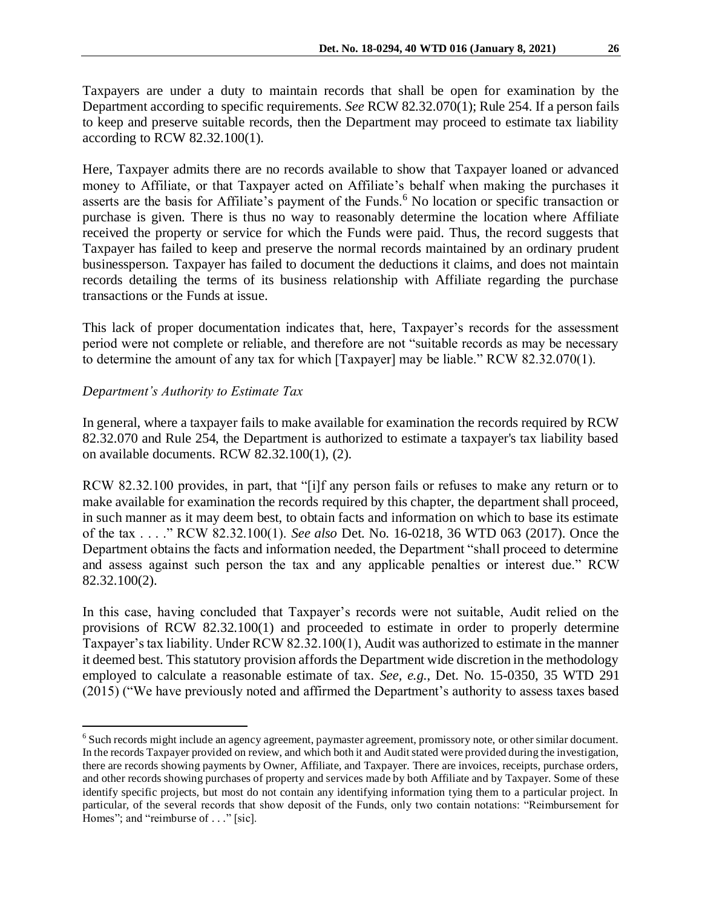Taxpayers are under a duty to maintain records that shall be open for examination by the Department according to specific requirements. *See* RCW 82.32.070(1); Rule 254. If a person fails to keep and preserve suitable records, then the Department may proceed to estimate tax liability according to RCW 82.32.100(1).

Here, Taxpayer admits there are no records available to show that Taxpayer loaned or advanced money to Affiliate, or that Taxpayer acted on Affiliate's behalf when making the purchases it asserts are the basis for Affiliate's payment of the Funds.<sup>6</sup> No location or specific transaction or purchase is given. There is thus no way to reasonably determine the location where Affiliate received the property or service for which the Funds were paid. Thus, the record suggests that Taxpayer has failed to keep and preserve the normal records maintained by an ordinary prudent businessperson. Taxpayer has failed to document the deductions it claims, and does not maintain records detailing the terms of its business relationship with Affiliate regarding the purchase transactions or the Funds at issue.

This lack of proper documentation indicates that, here, Taxpayer's records for the assessment period were not complete or reliable, and therefore are not "suitable records as may be necessary to determine the amount of any tax for which [Taxpayer] may be liable." RCW 82.32.070(1).

# *Department's Authority to Estimate Tax*

 $\overline{a}$ 

In general, where a taxpayer fails to make available for examination the records required by RCW 82.32.070 and Rule 254, the Department is authorized to estimate a taxpayer's tax liability based on available documents. RCW 82.32.100(1), (2).

RCW 82.32.100 provides, in part, that "[i]f any person fails or refuses to make any return or to make available for examination the records required by this chapter, the department shall proceed, in such manner as it may deem best, to obtain facts and information on which to base its estimate of the tax . . . ." RCW 82.32.100(1). *See also* Det. No. 16-0218, 36 WTD 063 (2017). Once the Department obtains the facts and information needed, the Department "shall proceed to determine and assess against such person the tax and any applicable penalties or interest due." RCW 82.32.100(2).

In this case, having concluded that Taxpayer's records were not suitable, Audit relied on the provisions of RCW 82.32.100(1) and proceeded to estimate in order to properly determine Taxpayer's tax liability. Under RCW 82.32.100(1), Audit was authorized to estimate in the manner it deemed best. This statutory provision affords the Department wide discretion in the methodology employed to calculate a reasonable estimate of tax. *See, e.g.*, Det. No. 15-0350, 35 WTD 291 (2015) ("We have previously noted and affirmed the Department's authority to assess taxes based

<sup>6</sup> Such records might include an agency agreement, paymaster agreement, promissory note, or other similar document. In the records Taxpayer provided on review, and which both it and Audit stated were provided during the investigation, there are records showing payments by Owner, Affiliate, and Taxpayer. There are invoices, receipts, purchase orders, and other records showing purchases of property and services made by both Affiliate and by Taxpayer. Some of these identify specific projects, but most do not contain any identifying information tying them to a particular project. In particular, of the several records that show deposit of the Funds, only two contain notations: "Reimbursement for Homes"; and "reimburse of . . ." [sic].